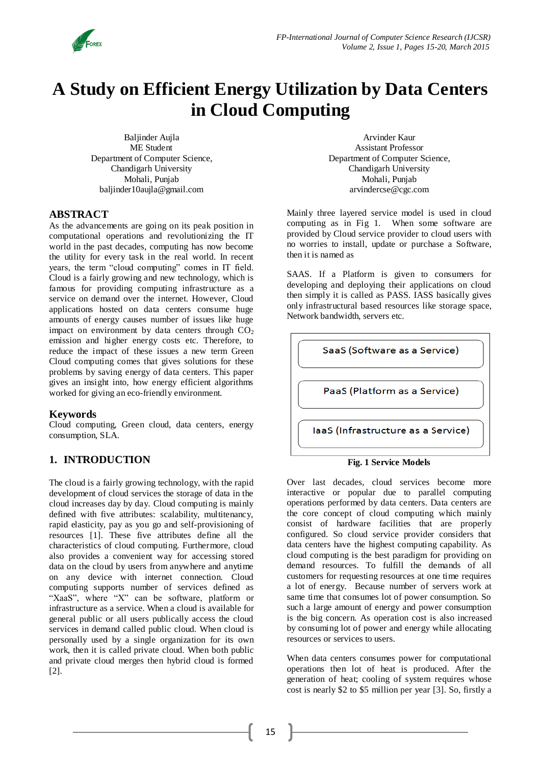

# **A Study on Efficient Energy Utilization by Data Centers in Cloud Computing**

Baljinder Aujla ME Student Department of Computer Science, Chandigarh University Mohali, Punjab baljinder10aujla@gmail.com

Arvinder Kaur Assistant Professor Department of Computer Science, Chandigarh University Mohali, Punjab arvindercse@cgc.com

### **ABSTRACT**

As the advancements are going on its peak position in computational operations and revolutionizing the IT world in the past decades, computing has now become the utility for every task in the real world. In recent years, the term "cloud computing" comes in IT field. Cloud is a fairly growing and new technology, which is famous for providing computing infrastructure as a service on demand over the internet. However, Cloud applications hosted on data centers consume huge amounts of energy causes number of issues like huge impact on environment by data centers through  $CO<sub>2</sub>$ emission and higher energy costs etc. Therefore, to reduce the impact of these issues a new term Green Cloud computing comes that gives solutions for these problems by saving energy of data centers. This paper gives an insight into, how energy efficient algorithms worked for giving an eco-friendly environment.

#### **Keywords**

Cloud computing, Green cloud, data centers, energy consumption, SLA.

## **1. INTRODUCTION**

The cloud is a fairly growing technology, with the rapid development of cloud services the storage of data in the cloud increases day by day. Cloud computing is mainly defined with five attributes: scalability, multitenancy, rapid elasticity, pay as you go and self-provisioning of resources [1]. These five attributes define all the characteristics of cloud computing. Furthermore, cloud also provides a convenient way for accessing stored data on the cloud by users from anywhere and anytime on any device with internet connection. Cloud computing supports number of services defined as "XaaS", where "X" can be software, platform or infrastructure as a service. When a cloud is available for general public or all users publically access the cloud services in demand called public cloud. When cloud is personally used by a single organization for its own work, then it is called private cloud. When both public and private cloud merges then hybrid cloud is formed [2].

Mainly three layered service model is used in cloud computing as in Fig 1. When some software are provided by Cloud service provider to cloud users with no worries to install, update or purchase a Software, then it is named as

SAAS. If a Platform is given to consumers for developing and deploying their applications on cloud then simply it is called as PASS. IASS basically gives only infrastructural based resources like storage space, Network bandwidth, servers etc.



#### **Fig. 1 Service Models**

Over last decades, cloud services become more interactive or popular due to parallel computing operations performed by data centers. Data centers are the core concept of cloud computing which mainly consist of hardware facilities that are properly configured. So cloud service provider considers that data centers have the highest computing capability. As cloud computing is the best paradigm for providing on demand resources. To fulfill the demands of all customers for requesting resources at one time requires a lot of energy. Because number of servers work at same time that consumes lot of power consumption. So such a large amount of energy and power consumption is the big concern. As operation cost is also increased by consuming lot of power and energy while allocating resources or services to users.

When data centers consumes power for computational operations then lot of heat is produced. After the generation of heat; cooling of system requires whose cost is nearly \$2 to \$5 million per year [3]. So, firstly a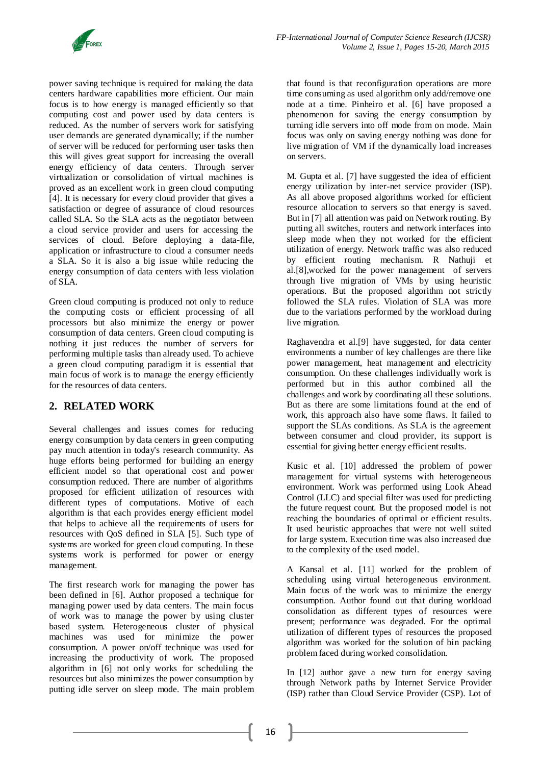

power saving technique is required for making the data centers hardware capabilities more efficient. Our main focus is to how energy is managed efficiently so that computing cost and power used by data centers is reduced. As the number of servers work for satisfying user demands are generated dynamically; if the number of server will be reduced for performing user tasks then this will gives great support for increasing the overall energy efficiency of data centers. Through server virtualization or consolidation of virtual machines is proved as an excellent work in green cloud computing [4]. It is necessary for every cloud provider that gives a satisfaction or degree of assurance of cloud resources called SLA. So the SLA acts as the negotiator between a cloud service provider and users for accessing the services of cloud. Before deploying a data-file, application or infrastructure to cloud a consumer needs a SLA. So it is also a big issue while reducing the energy consumption of data centers with less violation of SLA.

Green cloud computing is produced not only to reduce the computing costs or efficient processing of all processors but also minimize the energy or power consumption of data centers. Green cloud computing is nothing it just reduces the number of servers for performing multiple tasks than already used. To achieve a green cloud computing paradigm it is essential that main focus of work is to manage the energy efficiently for the resources of data centers.

# **2. RELATED WORK**

Several challenges and issues comes for reducing energy consumption by data centers in green computing pay much attention in today's research community. As huge efforts being performed for building an energy efficient model so that operational cost and power consumption reduced. There are number of algorithms proposed for efficient utilization of resources with different types of computations. Motive of each algorithm is that each provides energy efficient model that helps to achieve all the requirements of users for resources with QoS defined in SLA [5]. Such type of systems are worked for green cloud computing. In these systems work is performed for power or energy management.

The first research work for managing the power has been defined in [6]. Author proposed a technique for managing power used by data centers. The main focus of work was to manage the power by using cluster based system. Heterogeneous cluster of physical machines was used for minimize the power consumption. A power on/off technique was used for increasing the productivity of work. The proposed algorithm in [6] not only works for scheduling the resources but also minimizes the power consumption by putting idle server on sleep mode. The main problem

that found is that reconfiguration operations are more time consuming as used algorithm only add/remove one node at a time. Pinheiro et al. [6] have proposed a phenomenon for saving the energy consumption by turning idle servers into off mode from on mode. Main focus was only on saving energy nothing was done for live migration of VM if the dynamically load increases on servers.

M. Gupta et al. [7] have suggested the idea of efficient energy utilization by inter-net service provider (ISP). As all above proposed algorithms worked for efficient resource allocation to servers so that energy is saved. But in [7] all attention was paid on Network routing. By putting all switches, routers and network interfaces into sleep mode when they not worked for the efficient utilization of energy. Network traffic was also reduced by efficient routing mechanism. R Nathuji et al.[8],worked for the power management of servers through live migration of VMs by using heuristic operations. But the proposed algorithm not strictly followed the SLA rules. Violation of SLA was more due to the variations performed by the workload during live migration.

Raghavendra et al.[9] have suggested, for data center environments a number of key challenges are there like power management, heat management and electricity consumption. On these challenges individually work is performed but in this author combined all the challenges and work by coordinating all these solutions. But as there are some limitations found at the end of work, this approach also have some flaws. It failed to support the SLAs conditions. As SLA is the agreement between consumer and cloud provider, its support is essential for giving better energy efficient results.

Kusic et al. [10] addressed the problem of power management for virtual systems with heterogeneous environment. Work was performed using Look Ahead Control (LLC) and special filter was used for predicting the future request count. But the proposed model is not reaching the boundaries of optimal or efficient results. It used heuristic approaches that were not well suited for large system. Execution time was also increased due to the complexity of the used model.

A Kansal et al. [11] worked for the problem of scheduling using virtual heterogeneous environment. Main focus of the work was to minimize the energy consumption. Author found out that during workload consolidation as different types of resources were present; performance was degraded. For the optimal utilization of different types of resources the proposed algorithm was worked for the solution of bin packing problem faced during worked consolidation.

In [12] author gave a new turn for energy saving through Network paths by Internet Service Provider (ISP) rather than Cloud Service Provider (CSP). Lot of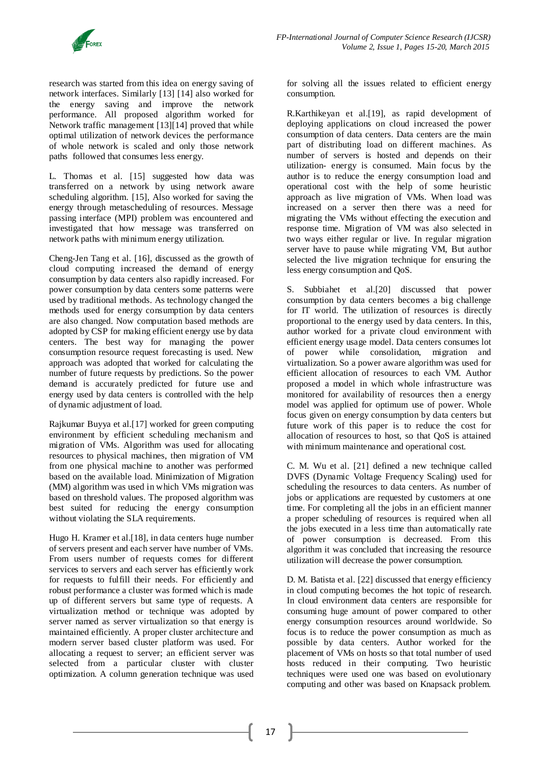

research was started from this idea on energy saving of network interfaces. Similarly [13] [14] also worked for the energy saving and improve the network performance. All proposed algorithm worked for Network traffic management [13][14] proved that while optimal utilization of network devices the performance of whole network is scaled and only those network paths followed that consumes less energy.

L. Thomas et al. [15] suggested how data was transferred on a network by using network aware scheduling algorithm. [15], Also worked for saving the energy through metascheduling of resources. Message passing interface (MPI) problem was encountered and investigated that how message was transferred on network paths with minimum energy utilization.

Cheng-Jen Tang et al. [16], discussed as the growth of cloud computing increased the demand of energy consumption by data centers also rapidly increased. For power consumption by data centers some patterns were used by traditional methods. As technology changed the methods used for energy consumption by data centers are also changed. Now computation based methods are adopted by CSP for making efficient energy use by data centers. The best way for managing the power consumption resource request forecasting is used. New approach was adopted that worked for calculating the number of future requests by predictions. So the power demand is accurately predicted for future use and energy used by data centers is controlled with the help of dynamic adjustment of load.

Rajkumar Buyya et al.[17] worked for green computing environment by efficient scheduling mechanism and migration of VMs. Algorithm was used for allocating resources to physical machines, then migration of VM from one physical machine to another was performed based on the available load. Minimization of Migration (MM) algorithm was used in which VMs migration was based on threshold values. The proposed algorithm was best suited for reducing the energy consumption without violating the SLA requirements.

Hugo H. Kramer et al.[18], in data centers huge number of servers present and each server have number of VMs. From users number of requests comes for different services to servers and each server has efficiently work for requests to fulfill their needs. For efficiently and robust performance a cluster was formed which is made up of different servers but same type of requests. A virtualization method or technique was adopted by server named as server virtualization so that energy is maintained efficiently. A proper cluster architecture and modern server based cluster platform was used. For allocating a request to server; an efficient server was selected from a particular cluster with cluster optimization. A column generation technique was used for solving all the issues related to efficient energy consumption.

R.Karthikeyan et al.[19], as rapid development of deploying applications on cloud increased the power consumption of data centers. Data centers are the main part of distributing load on different machines. As number of servers is hosted and depends on their utilization- energy is consumed. Main focus by the author is to reduce the energy consumption load and operational cost with the help of some heuristic approach as live migration of VMs. When load was increased on a server then there was a need for migrating the VMs without effecting the execution and response time. Migration of VM was also selected in two ways either regular or live. In regular migration server have to pause while migrating VM, But author selected the live migration technique for ensuring the less energy consumption and QoS.

S. Subbiahet et al.[20] discussed that power consumption by data centers becomes a big challenge for IT world. The utilization of resources is directly proportional to the energy used by data centers. In this, author worked for a private cloud environment with efficient energy usage model. Data centers consumes lot of power while consolidation, migration and virtualization. So a power aware algorithm was used for efficient allocation of resources to each VM. Author proposed a model in which whole infrastructure was monitored for availability of resources then a energy model was applied for optimum use of power. Whole focus given on energy consumption by data centers but future work of this paper is to reduce the cost for allocation of resources to host, so that QoS is attained with minimum maintenance and operational cost.

C. M. Wu et al. [21] defined a new technique called DVFS (Dynamic Voltage Frequency Scaling) used for scheduling the resources to data centers. As number of jobs or applications are requested by customers at one time. For completing all the jobs in an efficient manner a proper scheduling of resources is required when all the jobs executed in a less time than automatically rate of power consumption is decreased. From this algorithm it was concluded that increasing the resource utilization will decrease the power consumption.

D. M. Batista et al. [22] discussed that energy efficiency in cloud computing becomes the hot topic of research. In cloud environment data centers are responsible for consuming huge amount of power compared to other energy consumption resources around worldwide. So focus is to reduce the power consumption as much as possible by data centers. Author worked for the placement of VMs on hosts so that total number of used hosts reduced in their computing. Two heuristic techniques were used one was based on evolutionary computing and other was based on Knapsack problem.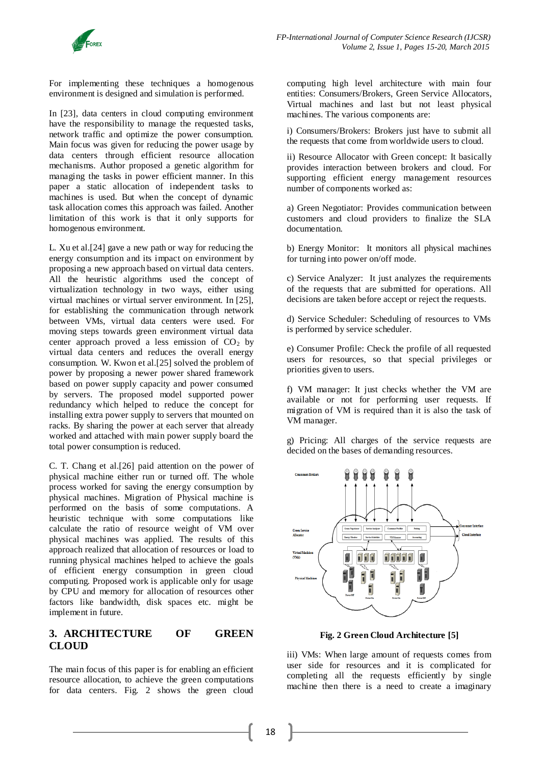For implementing these techniques a homogenous environment is designed and simulation is performed.

In [23], data centers in cloud computing environment have the responsibility to manage the requested tasks, network traffic and optimize the power consumption. Main focus was given for reducing the power usage by data centers through efficient resource allocation mechanisms. Author proposed a genetic algorithm for managing the tasks in power efficient manner. In this paper a static allocation of independent tasks to machines is used. But when the concept of dynamic task allocation comes this approach was failed. Another limitation of this work is that it only supports for homogenous environment.

L. Xu et al.[24] gave a new path or way for reducing the energy consumption and its impact on environment by proposing a new approach based on virtual data centers. All the heuristic algorithms used the concept of virtualization technology in two ways, either using virtual machines or virtual server environment. In [25], for establishing the communication through network between VMs, virtual data centers were used. For moving steps towards green environment virtual data center approach proved a less emission of  $CO<sub>2</sub>$  by virtual data centers and reduces the overall energy consumption. W. Kwon et al.[25] solved the problem of power by proposing a newer power shared framework based on power supply capacity and power consumed by servers. The proposed model supported power redundancy which helped to reduce the concept for installing extra power supply to servers that mounted on racks. By sharing the power at each server that already worked and attached with main power supply board the total power consumption is reduced.

C. T. Chang et al.[26] paid attention on the power of physical machine either run or turned off. The whole process worked for saving the energy consumption by physical machines. Migration of Physical machine is performed on the basis of some computations. A heuristic technique with some computations like calculate the ratio of resource weight of VM over physical machines was applied. The results of this approach realized that allocation of resources or load to running physical machines helped to achieve the goals of efficient energy consumption in green cloud computing. Proposed work is applicable only for usage by CPU and memory for allocation of resources other factors like bandwidth, disk spaces etc. might be implement in future.

# **3. ARCHITECTURE OF GREEN CLOUD**

The main focus of this paper is for enabling an efficient resource allocation, to achieve the green computations for data centers. Fig. 2 shows the green cloud

computing high level architecture with main four entities: Consumers/Brokers, Green Service Allocators, Virtual machines and last but not least physical machines. The various components are:

i) Consumers/Brokers: Brokers just have to submit all the requests that come from worldwide users to cloud.

ii) Resource Allocator with Green concept: It basically provides interaction between brokers and cloud. For supporting efficient energy management resources number of components worked as:

a) Green Negotiator: Provides communication between customers and cloud providers to finalize the SLA documentation.

b) Energy Monitor: It monitors all physical machines for turning into power on/off mode.

c) Service Analyzer: It just analyzes the requirements of the requests that are submitted for operations. All decisions are taken before accept or reject the requests.

d) Service Scheduler: Scheduling of resources to VMs is performed by service scheduler.

e) Consumer Profile: Check the profile of all requested users for resources, so that special privileges or priorities given to users.

f) VM manager: It just checks whether the VM are available or not for performing user requests. If migration of VM is required than it is also the task of VM manager.

g) Pricing: All charges of the service requests are decided on the bases of demanding resources.



**Fig. 2 Green Cloud Architecture [5]**

iii) VMs: When large amount of requests comes from user side for resources and it is complicated for completing all the requests efficiently by single machine then there is a need to create a imaginary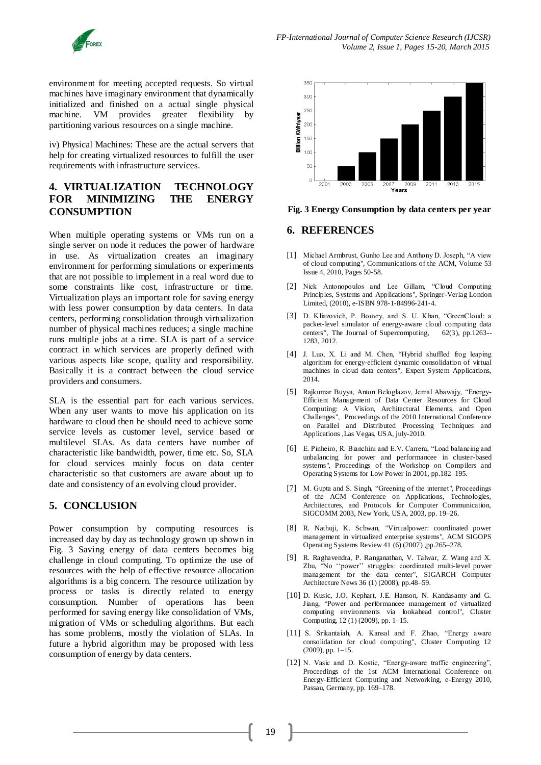

environment for meeting accepted requests. So virtual machines have imaginary environment that dynamically initialized and finished on a actual single physical machine. VM provides greater flexibility by partitioning various resources on a single machine.

iv) Physical Machines: These are the actual servers that help for creating virtualized resources to fulfill the user requirements with infrastructure services.

## **4. VIRTUALIZATION TECHNOLOGY FOR MINIMIZING THE ENERGY CONSUMPTION**

When multiple operating systems or VMs run on a single server on node it reduces the power of hardware in use. As virtualization creates an imaginary environment for performing simulations or experiments that are not possible to implement in a real word due to some constraints like cost, infrastructure or time. Virtualization plays an important role for saving energy with less power consumption by data centers. In data centers, performing consolidation through virtualization number of physical machines reduces; a single machine runs multiple jobs at a time. SLA is part of a service contract in which services are properly defined with various aspects like scope, quality and responsibility. Basically it is a contract between the cloud service providers and consumers.

SLA is the essential part for each various services. When any user wants to move his application on its hardware to cloud then he should need to achieve some service levels as customer level, service based or multilevel SLAs. As data centers have number of characteristic like bandwidth, power, time etc. So, SLA for cloud services mainly focus on data center characteristic so that customers are aware about up to date and consistency of an evolving cloud provider.

# **5. CONCLUSION**

Power consumption by computing resources is increased day by day as technology grown up shown in Fig. 3 Saving energy of data centers becomes big challenge in cloud computing. To optimize the use of resources with the help of effective resource allocation algorithms is a big concern. The resource utilization by process or tasks is directly related to energy consumption. Number of operations has been performed for saving energy like consolidation of VMs, migration of VMs or scheduling algorithms. But each has some problems, mostly the violation of SLAs. In future a hybrid algorithm may be proposed with less consumption of energy by data centers.



**Fig. 3 Energy Consumption by data centers per year**

### **6. REFERENCES**

- [1] Michael Armbrust, Gunho Lee and Anthony D. Joseph, "A view of cloud computing", Communications of the ACM, Volume 53 Issue 4, 2010, Pages 50-58.
- [2] Nick Antonopoulos and Lee Gillam, "Cloud Computing Principles, Systems and Applications", Springer-Verlag London Limited, (2010), e-ISBN 978-1-84996-241-4.
- [3] D. Kliazovich, P. Bouvry, and S. U. Khan, "GreenCloud: a packet-level simulator of energy-aware cloud computing data centers", The Journal of Supercomputing, 62(3), pp.1263-- 1283, 2012.
- [4] J. Luo, X. Li and M. Chen, "Hybrid shuffled frog leaping algorithm for energy-efficient dynamic consolidation of virtual machines in cloud data centers", Expert System Applications, 2014.
- [5] Rajkumar Buyya, Anton Beloglazov, Jemal Abawajy, "Energy-Efficient Management of Data Center Resources for Cloud Computing: A Vision, Architectural Elements, and Open Challenges", Proceedings of the 2010 International Conference on Parallel and Distributed Processing Techniques and Applications ,Las Vegas, USA, july-2010.
- [6] E. Pinheiro, R. Bianchini and E.V. Carrera, "Load balancing and unbalancing for power and performancee in cluster-based systems", Proceedings of the Workshop on Compilers and Operating Systems for Low Power in 2001, pp.182–195.
- [7] M. Gupta and S. Singh, "Greening of the internet", Proceedings of the ACM Conference on Applications, Technologies, Architectures, and Protocols for Computer Communication, SIGCOMM 2003, New York, USA, 2003, pp. 19–26.
- [8] R. Nathuji, K. Schwan, "Virtualpower: coordinated power management in virtualized enterprise systems", ACM SIGOPS Operating Systems Review 41 (6) (2007) ,pp.265–278.
- [9] R. Raghavendra, P. Ranganathan, V. Talwar, Z. Wang and X. Zhu, "No ''power'' struggles: coordinated multi-level power management for the data center", SIGARCH Computer Architecture News 36 (1) (2008), pp.48–59.
- [10] D. Kusic, J.O. Kephart, J.E. Hanson, N. Kandasamy and G. Jiang, "Power and performancee management of virtualized computing environments via lookahead control", Cluster Computing, 12 (1) (2009), pp. 1–15.
- [11] S. Srikantaiah, A. Kansal and F. Zhao, "Energy aware consolidation for cloud computing", Cluster Computing 12 (2009), pp. 1–15.
- [12] N. Vasic and D. Kostic, "Energy-aware traffic engineering", Proceedings of the 1st ACM International Conference on Energy-Efficient Computing and Networking, e-Energy 2010, Passau, Germany, pp. 169–178.